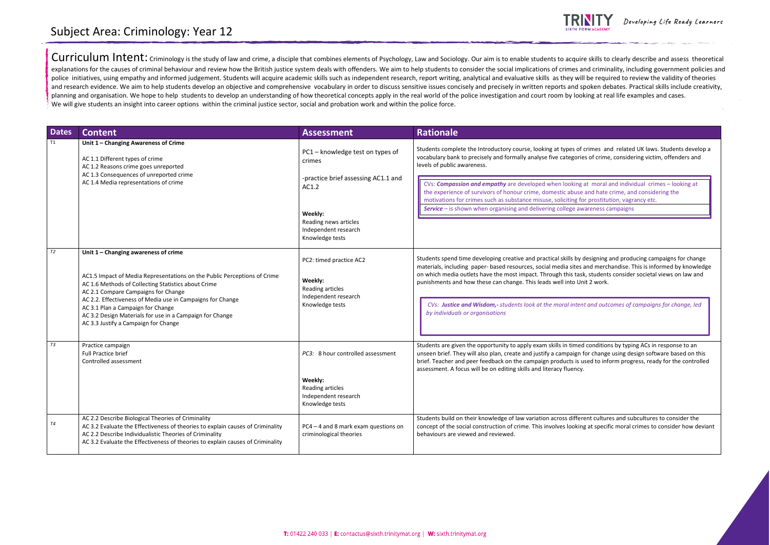Curriculum Intent: Criminology is the study of law and crime, a disciple that combines elements of Psychology, Law and Sociology. Our aim is to enable students to acquire skills to clearly describe and assess theoretical explanations for the causes of criminal behaviour and review how the British justice system deals with offenders. We aim to help students to consider the social implications of crimes and criminality, including government police initiatives, using empathy and informed judgement. Students will acquire academic skills such as independent research, report writing, analytical and evaluative skills as they will be required to review the validity and research evidence. We aim to help students develop an objective and comprehensive vocabulary in order to discuss sensitive issues concisely and precisely in written reports and spoken debates. Practical skills include planning and organisation. We hope to help students to develop an understanding of how theoretical concepts apply in the real world of the police investigation and court room by looking at real life examples and cases. We will give students an insight into career options within the criminal justice sector, social and probation work and within the police force.

| <b>Dates</b> | <b>Content</b>                                                                                                                                                                                                                                                                                                                                                                                                        | <b>Assessment</b>                                                                                           | <b>Rationale</b>                                                                                                                                                                                                                                                                                                                                                                                                                           |
|--------------|-----------------------------------------------------------------------------------------------------------------------------------------------------------------------------------------------------------------------------------------------------------------------------------------------------------------------------------------------------------------------------------------------------------------------|-------------------------------------------------------------------------------------------------------------|--------------------------------------------------------------------------------------------------------------------------------------------------------------------------------------------------------------------------------------------------------------------------------------------------------------------------------------------------------------------------------------------------------------------------------------------|
| T1           | Unit 1 - Changing Awareness of Crime<br>AC 1.1 Different types of crime<br>AC 1.2 Reasons crime goes unreported<br>AC 1.3 Consequences of unreported crime<br>AC 1.4 Media representations of crime                                                                                                                                                                                                                   | PC1 - knowledge test on types of<br>crimes<br>-practice brief assessing AC1.1 and                           | Students complete the Introductory course, looking at types of<br>vocabulary bank to precisely and formally analyse five categorie<br>levels of public awareness.<br>CVs: <b>Compassion and empathy</b> are developed when looking<br>the experience of survivors of honour crime, domestic abuse<br>motivations for crimes such as substance misuse, soliciting fo<br><b>Service</b> – is shown when organising and delivering college aw |
|              |                                                                                                                                                                                                                                                                                                                                                                                                                       | AC1.2<br>Weekly:<br>Reading news articles<br>Independent research<br>Knowledge tests                        |                                                                                                                                                                                                                                                                                                                                                                                                                                            |
| T2           | Unit 1 - Changing awareness of crime<br>AC1.5 Impact of Media Representations on the Public Perceptions of Crime<br>AC 1.6 Methods of Collecting Statistics about Crime<br>AC 2.1 Compare Campaigns for Change<br>AC 2.2. Effectiveness of Media use in Campaigns for Change<br>AC 3.1 Plan a Campaign for Change<br>AC 3.2 Design Materials for use in a Campaign for Change<br>AC 3.3 Justify a Campaign for Change | PC2: timed practice AC2<br>Weekly:<br>Reading articles<br>Independent research<br>Knowledge tests           | Students spend time developing creative and practical skills by o<br>materials, including paper- based resources, social media sites<br>on which media outlets have the most impact. Through this task<br>punishments and how these can change. This leads well into Un<br>CVs: Justice and Wisdom,- students look at the moral inten<br>by individuals or organisations                                                                   |
| T3           | Practice campaign<br>Full Practice brief<br>Controlled assessment                                                                                                                                                                                                                                                                                                                                                     | PC3: 8 hour controlled assessment<br>Weekly:<br>Reading articles<br>Independent research<br>Knowledge tests | Students are given the opportunity to apply exam skills in timed<br>unseen brief. They will also plan, create and justify a campaign f<br>brief. Teacher and peer feedback on the campaign products is u<br>assessment. A focus will be on editing skills and literacy fluency.                                                                                                                                                            |
| <b>T4</b>    | AC 2.2 Describe Biological Theories of Criminality<br>AC 3.2 Evaluate the Effectiveness of theories to explain causes of Criminality<br>AC 2.2 Describe Individualistic Theories of Criminality<br>AC 3.2 Evaluate the Effectiveness of theories to explain causes of Criminality                                                                                                                                     | PC4 - 4 and 8 mark exam questions on<br>criminological theories                                             | Students build on their knowledge of law variation across differ<br>concept of the social construction of crime. This involves looking<br>behaviours are viewed and reviewed.                                                                                                                                                                                                                                                              |



Developing Life Ready Learners

of crimes and related UK laws. Students develop a ries of crime, considering victim, offenders and

g at moral and individual crimes – looking at se and hate crime, and considering the for prostitution, vagrancy etc. **Service is shown when it shows: See also example the condenses and detailed as a set of the condensity condensity** 

y designing and producing campaigns for change es and merchandise. This is informed by knowledge ask, students consider societal views on law and Jnit 2 work.

## Subject Area: Criminology: Year 12

*CVs: Justice and Wisdom,- students look at the moral intent and outcomes of campaigns for change, led* 

ed conditions by typing ACs in response to an n for change using design software based on this used to inform progress, ready for the controlled

erent cultures and subcultures to consider the ing at specific moral crimes to consider how deviant